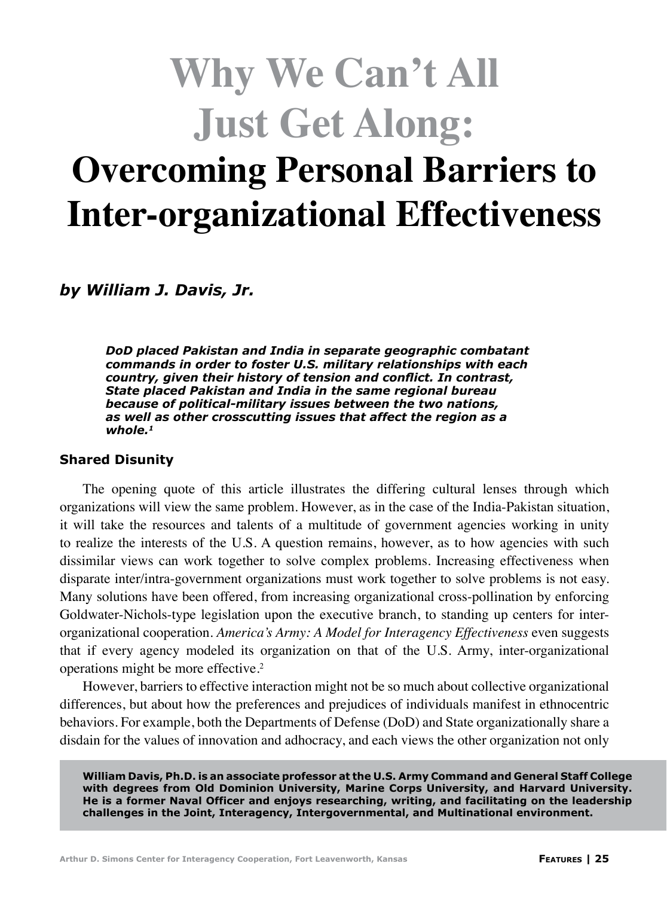# **Why We Can't All Just Get Along: Overcoming Personal Barriers to Inter-organizational Effectiveness**

*by William J. Davis, Jr.*

*DoD placed Pakistan and India in separate geographic combatant commands in order to foster U.S. military relationships with each country, given their history of tension and conflict. In contrast, State placed Pakistan and India in the same regional bureau because of political-military issues between the two nations, as well as other crosscutting issues that affect the region as a whole.1*

#### **Shared Disunity**

The opening quote of this article illustrates the differing cultural lenses through which organizations will view the same problem. However, as in the case of the India-Pakistan situation, it will take the resources and talents of a multitude of government agencies working in unity to realize the interests of the U.S. A question remains, however, as to how agencies with such dissimilar views can work together to solve complex problems. Increasing effectiveness when disparate inter/intra-government organizations must work together to solve problems is not easy. Many solutions have been offered, from increasing organizational cross-pollination by enforcing Goldwater-Nichols-type legislation upon the executive branch, to standing up centers for interorganizational cooperation. *America's Army: A Model for Interagency Effectiveness* even suggests that if every agency modeled its organization on that of the U.S. Army, inter-organizational operations might be more effective.<sup>2</sup>

However, barriers to effective interaction might not be so much about collective organizational differences, but about how the preferences and prejudices of individuals manifest in ethnocentric behaviors. For example, both the Departments of Defense (DoD) and State organizationally share a disdain for the values of innovation and adhocracy, and each views the other organization not only

**William Davis, Ph.D. is an associate professor at the U.S. Army Command and General Staff College with degrees from Old Dominion University, Marine Corps University, and Harvard University. He is a former Naval Officer and enjoys researching, writing, and facilitating on the leadership challenges in the Joint, Interagency, Intergovernmental, and Multinational environment.**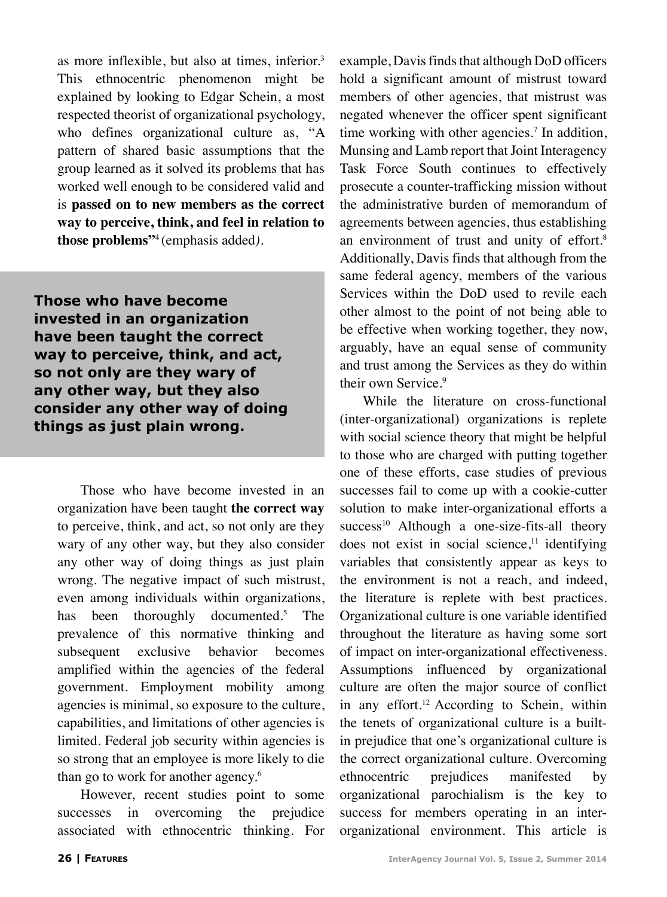as more inflexible, but also at times, inferior.<sup>3</sup> This ethnocentric phenomenon might be explained by looking to Edgar Schein, a most respected theorist of organizational psychology, who defines organizational culture as, "A pattern of shared basic assumptions that the group learned as it solved its problems that has worked well enough to be considered valid and is **passed on to new members as the correct way to perceive, think, and feel in relation to those problems"**4 (emphasis added*)*.

**Those who have become invested in an organization have been taught the correct way to perceive, think, and act, so not only are they wary of any other way, but they also consider any other way of doing things as just plain wrong.**

Those who have become invested in an organization have been taught **the correct way** to perceive, think, and act, so not only are they wary of any other way, but they also consider any other way of doing things as just plain wrong. The negative impact of such mistrust, even among individuals within organizations, has been thoroughly documented.<sup>5</sup> The prevalence of this normative thinking and subsequent exclusive behavior becomes amplified within the agencies of the federal government. Employment mobility among agencies is minimal, so exposure to the culture, capabilities, and limitations of other agencies is limited. Federal job security within agencies is so strong that an employee is more likely to die than go to work for another agency.<sup>6</sup>

However, recent studies point to some successes in overcoming the prejudice associated with ethnocentric thinking. For example, Davis finds that although DoD officers hold a significant amount of mistrust toward members of other agencies, that mistrust was negated whenever the officer spent significant time working with other agencies.<sup>7</sup> In addition, Munsing and Lamb report that Joint Interagency Task Force South continues to effectively prosecute a counter-trafficking mission without the administrative burden of memorandum of agreements between agencies, thus establishing an environment of trust and unity of effort.<sup>8</sup> Additionally, Davis finds that although from the same federal agency, members of the various Services within the DoD used to revile each other almost to the point of not being able to be effective when working together, they now, arguably, have an equal sense of community and trust among the Services as they do within their own Service.<sup>9</sup>

While the literature on cross-functional (inter-organizational) organizations is replete with social science theory that might be helpful to those who are charged with putting together one of these efforts, case studies of previous successes fail to come up with a cookie-cutter solution to make inter-organizational efforts a success<sup>10</sup> Although a one-size-fits-all theory does not exist in social science, $11$  identifying variables that consistently appear as keys to the environment is not a reach, and indeed, the literature is replete with best practices. Organizational culture is one variable identified throughout the literature as having some sort of impact on inter-organizational effectiveness. Assumptions influenced by organizational culture are often the major source of conflict in any effort.<sup>12</sup> According to Schein, within the tenets of organizational culture is a builtin prejudice that one's organizational culture is the correct organizational culture. Overcoming ethnocentric prejudices manifested by organizational parochialism is the key to success for members operating in an interorganizational environment. This article is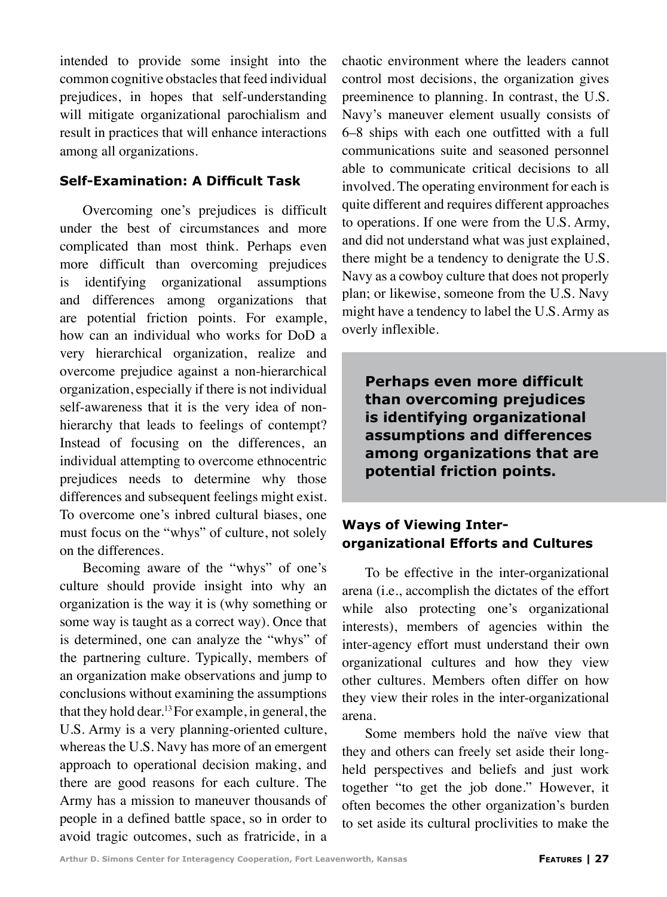intended to provide some insight into the common cognitive obstacles that feed individual prejudices, in hopes that self-understanding will mitigate organizational parochialism and result in practices that will enhance interactions among all organizations.

## **Self-Examination: A Difficult Task**

Overcoming one's prejudices is difficult under the best of circumstances and more complicated than most think. Perhaps even more difficult than overcoming prejudices is identifying organizational assumptions and differences among organizations that are potential friction points. For example, how can an individual who works for DoD a very hierarchical organization, realize and overcome prejudice against a non-hierarchical organization, especially if there is not individual self-awareness that it is the very idea of nonhierarchy that leads to feelings of contempt? Instead of focusing on the differences, an individual attempting to overcome ethnocentric prejudices needs to determine why those differences and subsequent feelings might exist. To overcome one's inbred cultural biases, one must focus on the "whys" of culture, not solely on the differences.

Becoming aware of the "whys" of one's culture should provide insight into why an organization is the way it is (why something or some way is taught as a correct way). Once that is determined, one can analyze the "whys" of the partnering culture. Typically, members of an organization make observations and jump to conclusions without examining the assumptions that they hold dear.<sup>13</sup> For example, in general, the U.S. Army is a very planning-oriented culture, whereas the U.S. Navy has more of an emergent approach to operational decision making, and there are good reasons for each culture. The Army has a mission to maneuver thousands of people in a defined battle space, so in order to avoid tragic outcomes, such as fratricide, in a chaotic environment where the leaders cannot control most decisions, the organization gives preeminence to planning. In contrast, the U.S. Navy's maneuver element usually consists of 6–8 ships with each one outfitted with a full communications suite and seasoned personnel able to communicate critical decisions to all involved. The operating environment for each is quite different and requires different approaches to operations. If one were from the U.S. Army, and did not understand what was just explained, there might be a tendency to denigrate the U.S. Navy as a cowboy culture that does not properly plan; or likewise, someone from the U.S. Navy might have a tendency to label the U.S. Army as overly inflexible.

**Perhaps even more difficult than overcoming prejudices is identifying organizational assumptions and differences among organizations that are potential friction points.**

## **Ways of Viewing Interorganizational Efforts and Cultures**

To be effective in the inter-organizational arena (i.e., accomplish the dictates of the effort while also protecting one's organizational interests), members of agencies within the inter-agency effort must understand their own organizational cultures and how they view other cultures. Members often differ on how they view their roles in the inter-organizational arena.

Some members hold the naïve view that they and others can freely set aside their longheld perspectives and beliefs and just work together "to get the job done." However, it often becomes the other organization's burden to set aside its cultural proclivities to make the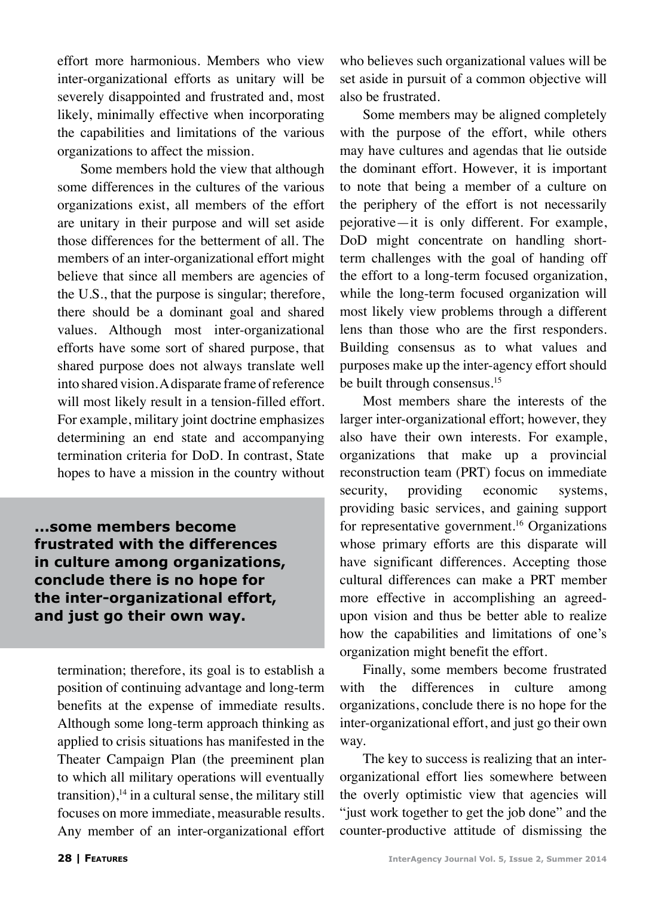effort more harmonious. Members who view inter-organizational efforts as unitary will be severely disappointed and frustrated and, most likely, minimally effective when incorporating the capabilities and limitations of the various organizations to affect the mission.

Some members hold the view that although some differences in the cultures of the various organizations exist, all members of the effort are unitary in their purpose and will set aside those differences for the betterment of all. The members of an inter-organizational effort might believe that since all members are agencies of the U.S., that the purpose is singular; therefore, there should be a dominant goal and shared values. Although most inter-organizational efforts have some sort of shared purpose, that shared purpose does not always translate well into shared vision. A disparate frame of reference will most likely result in a tension-filled effort. For example, military joint doctrine emphasizes determining an end state and accompanying termination criteria for DoD. In contrast, State hopes to have a mission in the country without

**...some members become frustrated with the differences in culture among organizations, conclude there is no hope for the inter-organizational effort, and just go their own way.**

termination; therefore, its goal is to establish a position of continuing advantage and long-term benefits at the expense of immediate results. Although some long-term approach thinking as applied to crisis situations has manifested in the Theater Campaign Plan (the preeminent plan to which all military operations will eventually transition), $14$  in a cultural sense, the military still focuses on more immediate, measurable results. Any member of an inter-organizational effort who believes such organizational values will be set aside in pursuit of a common objective will also be frustrated.

Some members may be aligned completely with the purpose of the effort, while others may have cultures and agendas that lie outside the dominant effort. However, it is important to note that being a member of a culture on the periphery of the effort is not necessarily pejorative—it is only different. For example, DoD might concentrate on handling shortterm challenges with the goal of handing off the effort to a long-term focused organization, while the long-term focused organization will most likely view problems through a different lens than those who are the first responders. Building consensus as to what values and purposes make up the inter-agency effort should be built through consensus.<sup>15</sup>

Most members share the interests of the larger inter-organizational effort; however, they also have their own interests. For example, organizations that make up a provincial reconstruction team (PRT) focus on immediate security, providing economic systems, providing basic services, and gaining support for representative government.16 Organizations whose primary efforts are this disparate will have significant differences. Accepting those cultural differences can make a PRT member more effective in accomplishing an agreedupon vision and thus be better able to realize how the capabilities and limitations of one's organization might benefit the effort.

Finally, some members become frustrated with the differences in culture among organizations, conclude there is no hope for the inter-organizational effort, and just go their own way.

The key to success is realizing that an interorganizational effort lies somewhere between the overly optimistic view that agencies will "just work together to get the job done" and the counter-productive attitude of dismissing the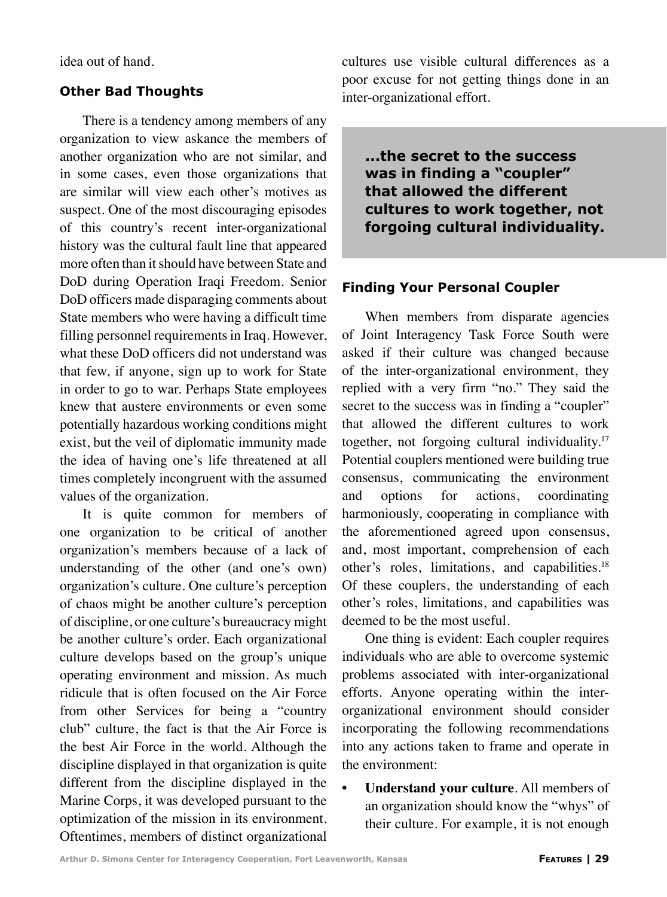idea out of hand.

## **Other Bad Thoughts**

There is a tendency among members of any organization to view askance the members of another organization who are not similar, and in some cases, even those organizations that are similar will view each other's motives as suspect. One of the most discouraging episodes of this country's recent inter-organizational history was the cultural fault line that appeared more often than it should have between State and DoD during Operation Iraqi Freedom. Senior DoD officers made disparaging comments about State members who were having a difficult time filling personnel requirements in Iraq. However, what these DoD officers did not understand was that few, if anyone, sign up to work for State in order to go to war. Perhaps State employees knew that austere environments or even some potentially hazardous working conditions might exist, but the veil of diplomatic immunity made the idea of having one's life threatened at all times completely incongruent with the assumed values of the organization.

It is quite common for members of one organization to be critical of another organization's members because of a lack of understanding of the other (and one's own) organization's culture. One culture's perception of chaos might be another culture's perception of discipline, or one culture's bureaucracy might be another culture's order. Each organizational culture develops based on the group's unique operating environment and mission. As much ridicule that is often focused on the Air Force from other Services for being a "country club" culture, the fact is that the Air Force is the best Air Force in the world. Although the discipline displayed in that organization is quite different from the discipline displayed in the Marine Corps, it was developed pursuant to the optimization of the mission in its environment. Oftentimes, members of distinct organizational cultures use visible cultural differences as a poor excuse for not getting things done in an inter-organizational effort.

**...the secret to the success was in finding a "coupler" that allowed the different cultures to work together, not forgoing cultural individuality.**

## **Finding Your Personal Coupler**

When members from disparate agencies of Joint Interagency Task Force South were asked if their culture was changed because of the inter-organizational environment, they replied with a very firm "no." They said the secret to the success was in finding a "coupler" that allowed the different cultures to work together, not forgoing cultural individuality.17 Potential couplers mentioned were building true consensus, communicating the environment and options for actions, coordinating harmoniously, cooperating in compliance with the aforementioned agreed upon consensus, and, most important, comprehension of each other's roles, limitations, and capabilities.18 Of these couplers, the understanding of each other's roles, limitations, and capabilities was deemed to be the most useful.

One thing is evident: Each coupler requires individuals who are able to overcome systemic problems associated with inter-organizational efforts. Anyone operating within the interorganizational environment should consider incorporating the following recommendations into any actions taken to frame and operate in the environment:

**• Understand your culture**. All members of an organization should know the "whys" of their culture. For example, it is not enough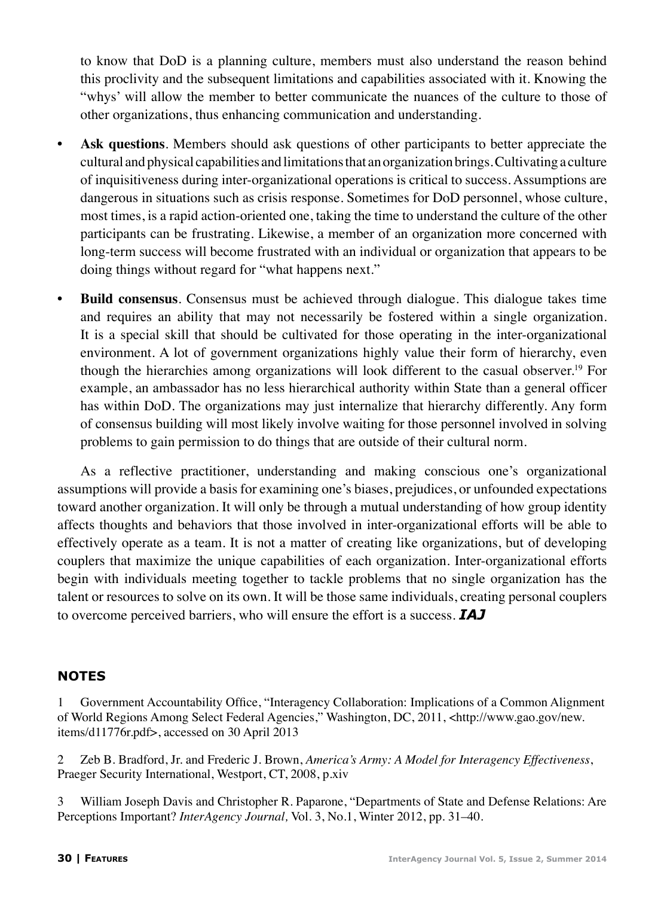to know that DoD is a planning culture, members must also understand the reason behind this proclivity and the subsequent limitations and capabilities associated with it. Knowing the "whys' will allow the member to better communicate the nuances of the culture to those of other organizations, thus enhancing communication and understanding.

- **Ask questions**. Members should ask questions of other participants to better appreciate the cultural and physical capabilities and limitations that an organization brings. Cultivating a culture of inquisitiveness during inter-organizational operations is critical to success. Assumptions are dangerous in situations such as crisis response. Sometimes for DoD personnel, whose culture, most times, is a rapid action-oriented one, taking the time to understand the culture of the other participants can be frustrating. Likewise, a member of an organization more concerned with long-term success will become frustrated with an individual or organization that appears to be doing things without regard for "what happens next."
- **• Build consensus**. Consensus must be achieved through dialogue. This dialogue takes time and requires an ability that may not necessarily be fostered within a single organization. It is a special skill that should be cultivated for those operating in the inter-organizational environment. A lot of government organizations highly value their form of hierarchy, even though the hierarchies among organizations will look different to the casual observer.19 For example, an ambassador has no less hierarchical authority within State than a general officer has within DoD. The organizations may just internalize that hierarchy differently. Any form of consensus building will most likely involve waiting for those personnel involved in solving problems to gain permission to do things that are outside of their cultural norm.

As a reflective practitioner, understanding and making conscious one's organizational assumptions will provide a basis for examining one's biases, prejudices, or unfounded expectations toward another organization. It will only be through a mutual understanding of how group identity affects thoughts and behaviors that those involved in inter-organizational efforts will be able to effectively operate as a team. It is not a matter of creating like organizations, but of developing couplers that maximize the unique capabilities of each organization. Inter-organizational efforts begin with individuals meeting together to tackle problems that no single organization has the talent or resources to solve on its own. It will be those same individuals, creating personal couplers to overcome perceived barriers, who will ensure the effort is a success. *IAJ*

## **NOTES**

1 Government Accountability Office, "Interagency Collaboration: Implications of a Common Alignment of World Regions Among Select Federal Agencies," Washington, DC, 2011, <http://www.gao.gov/new. items/d11776r.pdf>, accessed on 30 April 2013

2 Zeb B. Bradford, Jr. and Frederic J. Brown, *America's Army: A Model for Interagency Effectiveness*, Praeger Security International, Westport, CT, 2008, p.xiv

3 William Joseph Davis and Christopher R. Paparone, "Departments of State and Defense Relations: Are Perceptions Important? *InterAgency Journal,* Vol. 3, No.1, Winter 2012, pp. 31–40.